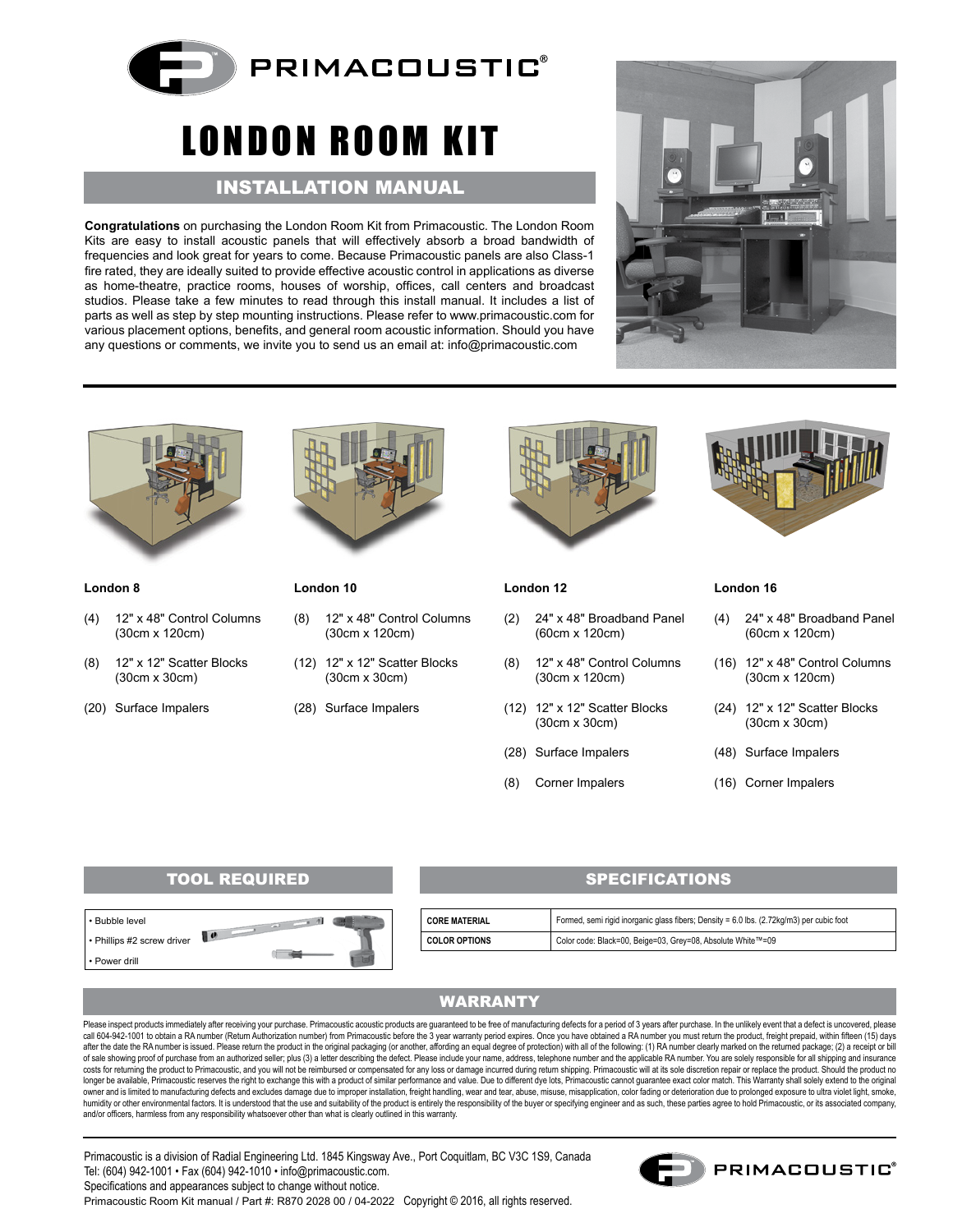

# LONDON ROOM KIT

## INSTALLATION MANUAL

**Congratulations** on purchasing the London Room Kit from Primacoustic. The London Room Kits are easy to install acoustic panels that will effectively absorb a broad bandwidth of frequencies and look great for years to come. Because Primacoustic panels are also Class-1 fire rated, they are ideally suited to provide effective acoustic control in applications as diverse as home-theatre, practice rooms, houses of worship, offices, call centers and broadcast studios. Please take a few minutes to read through this install manual. It includes a list of parts as well as step by step mounting instructions. Please refer to www.primacoustic.com for various placement options, benefits, and general room acoustic information. Should you have any questions or comments, we invite you to send us an email at: info@primacoustic.com





#### **London 8**

- (4) 12" x 48" Control Columns (30cm x 120cm)
- (8) 12" x 12" Scatter Blocks (30cm x 30cm)
- (20) Surface Impalers



**London 10**

- (8) 12" x 48" Control Columns (30cm x 120cm)
- (12) 12" x 12" Scatter Blocks
- (28) Surface Impalers

(30cm x 30cm)



#### **London 12**

- (2) 24" x 48" Broadband Panel (60cm x 120cm)
- (8) 12" x 48" Control Columns (30cm x 120cm)
- (12) 12" x 12" Scatter Blocks (30cm x 30cm)
- (28) Surface Impalers
- (8) Corner Impalers

#### **London 16**

- (4) 24" x 48" Broadband Panel (60cm x 120cm)
- (16) 12" x 48" Control Columns (30cm x 120cm)
- (24) 12" x 12" Scatter Blocks (30cm x 30cm)
- (48) Surface Impalers
- (16) Corner Impalers

## TOOL REQUIRED SPECIFICATIONS



| <b>CORE MATERIAL</b> | Formed, semi rigid inorganic glass fibers; Density = 6.0 lbs. (2.72kg/m3) per cubic foot |
|----------------------|------------------------------------------------------------------------------------------|
| <b>COLOR OPTIONS</b> | Color code: Black=00, Beige=03, Grey=08, Absolute White™=09                              |

## WARRANTY

Please inspect products immediately after receiving your purchase. Primacoustic acoustic products are guaranteed to be free of manufacturing defects for a period of 3 years after purchase. In the unlikely event that a defe call 604-942-1001 to obtain a RA number (Return Authorization number) from Primacoustic before the 3 year warranty period expires. Once you have obtained a RA number you must return the product, freight prepaid, within fif after the date the RA number is issued. Please return the product in the original packaging (or another, affording an equal degree of protection) with all of the following: (1) RA number clearly marked on the returned pack of sale showing proof of purchase from an authorized seller; plus (3) a letter describing the defect. Please include your name, address, telephone number and the applicable RA number. You are solely responsible for all shi costs for returning the product to Primacoustic, and you will not be reimbursed or compensated for any loss or damage incurred during return shipping. Primacoustic will at its sole discretion repair or replace the product. owner and is limited to manufacturing defects and excludes damage due to improper installation, freight handling, wear and tear, abuse, misause, misapplication, color fading or deterioration due to prolonged exposure to ul humidity or other environmental factors. It is understood that the use and suitability of the product is entirely the responsibility of the buyer or specifying engineer and as such, these parties agree to hold Primacoustic and/or officers, harmless from any responsibility whatsoever other than what is clearly outlined in this warranty.

Primacoustic is a division of Radial Engineering Ltd. 1845 Kingsway Ave., Port Coquitlam, BC V3C 1S9, Canada Tel: (604) 942-1001 • Fax (604) 942-1010 • info@primacoustic.com. Specifications and appearances subject to change without notice. Primacoustic Room Kit manual / Part #: R870 2028 00 / 04-2022 Copyright © 2016, all rights reserved.

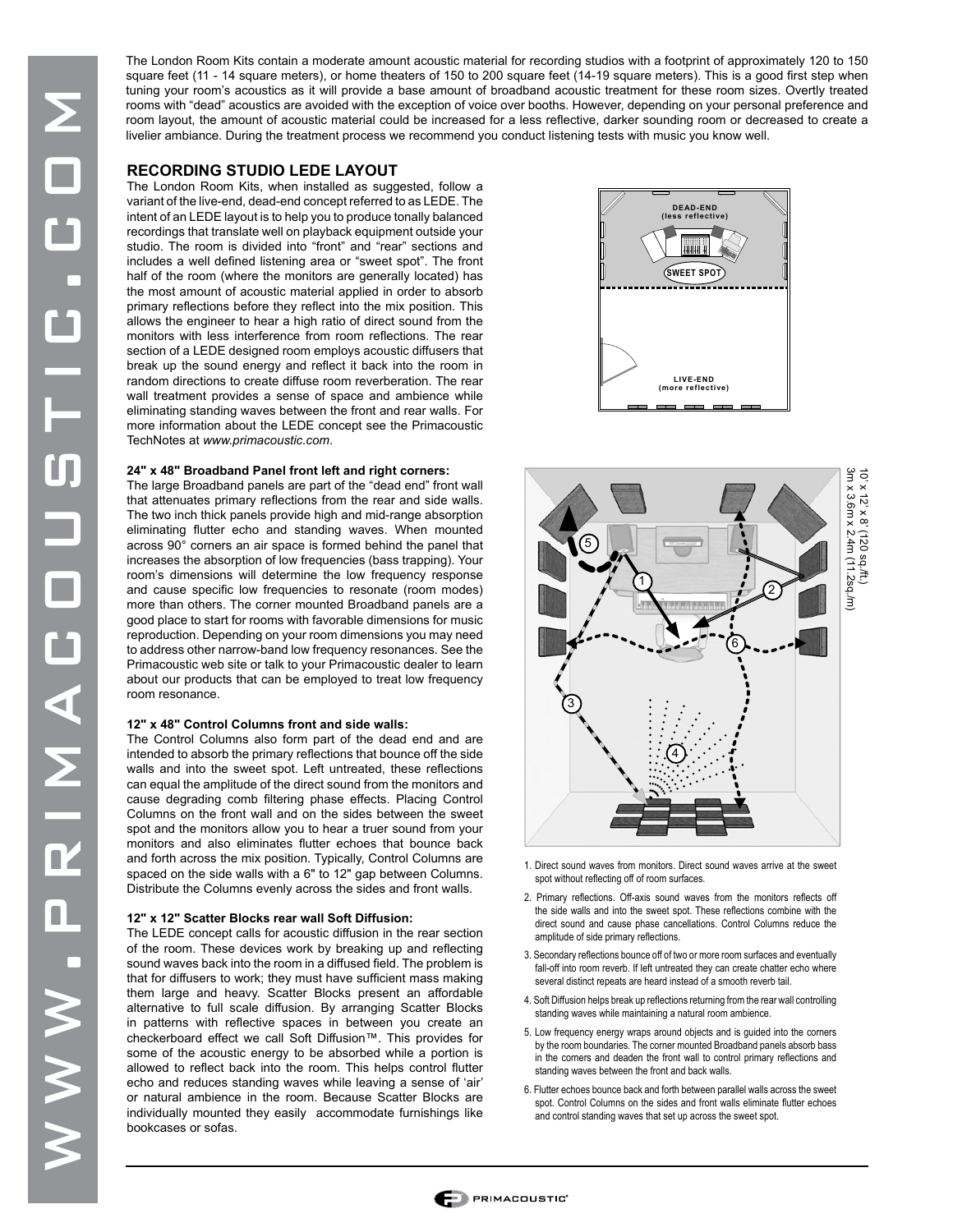The London Room Kits contain a moderate amount acoustic material for recording studios with a footprint of approximately 120 to 150 square feet (11 - 14 square meters), or home theaters of 150 to 200 square feet (14-19 square meters). This is a good first step when tuning your room's acoustics as it will provide a base amount of broadband acoustic treatment for these room sizes. Overtly treated rooms with "dead" acoustics are avoided with the exception of voice over booths. However, depending on your personal preference and room layout, the amount of acoustic material could be increased for a less reflective, darker sounding room or decreased to create a livelier ambiance. During the treatment process we recommend you conduct listening tests with music you know well.

### **RECORDING STUDIO LEDE LAYOUT**

The London Room Kits, when installed as suggested, follow a variant of the live-end, dead-end concept referred to as LEDE. The intent of an LEDE layout is to help you to produce tonally balanced recordings that translate well on playback equipment outside your studio. The room is divided into "front" and "rear" sections and includes a well defined listening area or "sweet spot". The front half of the room (where the monitors are generally located) has the most amount of acoustic material applied in order to absorb primary reflections before they reflect into the mix position. This allows the engineer to hear a high ratio of direct sound from the monitors with less interference from room reflections. The rear section of a LEDE designed room employs acoustic diffusers that break up the sound energy and reflect it back into the room in random directions to create diffuse room reverberation. The rear wall treatment provides a sense of space and ambience while eliminating standing waves between the front and rear walls. For more information about the LEDE concept see the Primacoustic TechNotes at *www.primacoustic.com*.

#### **24" x 48" Broadband Panel front left and right corners:**

The large Broadband panels are part of the "dead end" front wall that attenuates primary reflections from the rear and side walls. The two inch thick panels provide high and mid-range absorption eliminating flutter echo and standing waves. When mounted across 90° corners an air space is formed behind the panel that increases the absorption of low frequencies (bass trapping). Your room's dimensions will determine the low frequency response and cause specific low frequencies to resonate (room modes) more than others. The corner mounted Broadband panels are a good place to start for rooms with favorable dimensions for music reproduction. Depending on your room dimensions you may need to address other narrow-band low frequency resonances. See the Primacoustic web site or talk to your Primacoustic dealer to learn about our products that can be employed to treat low frequency room resonance.

#### **12" x 48" Control Columns front and side walls:**

The Control Columns also form part of the dead end and are intended to absorb the primary reflections that bounce off the side walls and into the sweet spot. Left untreated, these reflections can equal the amplitude of the direct sound from the monitors and cause degrading comb filtering phase effects. Placing Control Columns on the front wall and on the sides between the sweet spot and the monitors allow you to hear a truer sound from your monitors and also eliminates flutter echoes that bounce back and forth across the mix position. Typically, Control Columns are spaced on the side walls with a 6" to 12" gap between Columns. Distribute the Columns evenly across the sides and front walls.

#### **12" x 12" Scatter Blocks rear wall Soft Diffusion:**

The LEDE concept calls for acoustic diffusion in the rear section of the room. These devices work by breaking up and reflecting sound waves back into the room in a diffused field. The problem is that for diffusers to work; they must have sufficient mass making them large and heavy. Scatter Blocks present an affordable alternative to full scale diffusion. By arranging Scatter Blocks in patterns with reflective spaces in between you create an checkerboard effect we call Soft Diffusion™. This provides for some of the acoustic energy to be absorbed while a portion is allowed to reflect back into the room. This helps control flutter echo and reduces standing waves while leaving a sense of 'air' or natural ambience in the room. Because Scatter Blocks are individually mounted they easily accommodate furnishings like bookcases or sofas.





- 1. Direct sound waves from monitors. Direct sound waves arrive at the sweet spot without reflecting off of room surfaces.
- 2. Primary reflections. Off-axis sound waves from the monitors reflects off the side walls and into the sweet spot. These reflections combine with the direct sound and cause phase cancellations. Control Columns reduce the amplitude of side primary reflections.
- 3. Secondary reflections bounce off of two or more room surfaces and eventually fall-off into room reverb. If left untreated they can create chatter echo where several distinct repeats are heard instead of a smooth reverb tail.
- 4. Soft Diffusion helps break up reflections returning from the rear wall controlling standing waves while maintaining a natural room ambience.
- 5. Low frequency energy wraps around objects and is guided into the corners by the room boundaries. The corner mounted Broadband panels absorb bass in the corners and deaden the front wall to control primary reflections and standing waves between the front and back walls.
- 6. Flutter echoes bounce back and forth between parallel walls across the sweet spot. Control Columns on the sides and front walls eliminate flutter echoes and control standing waves that set up across the sweet spot.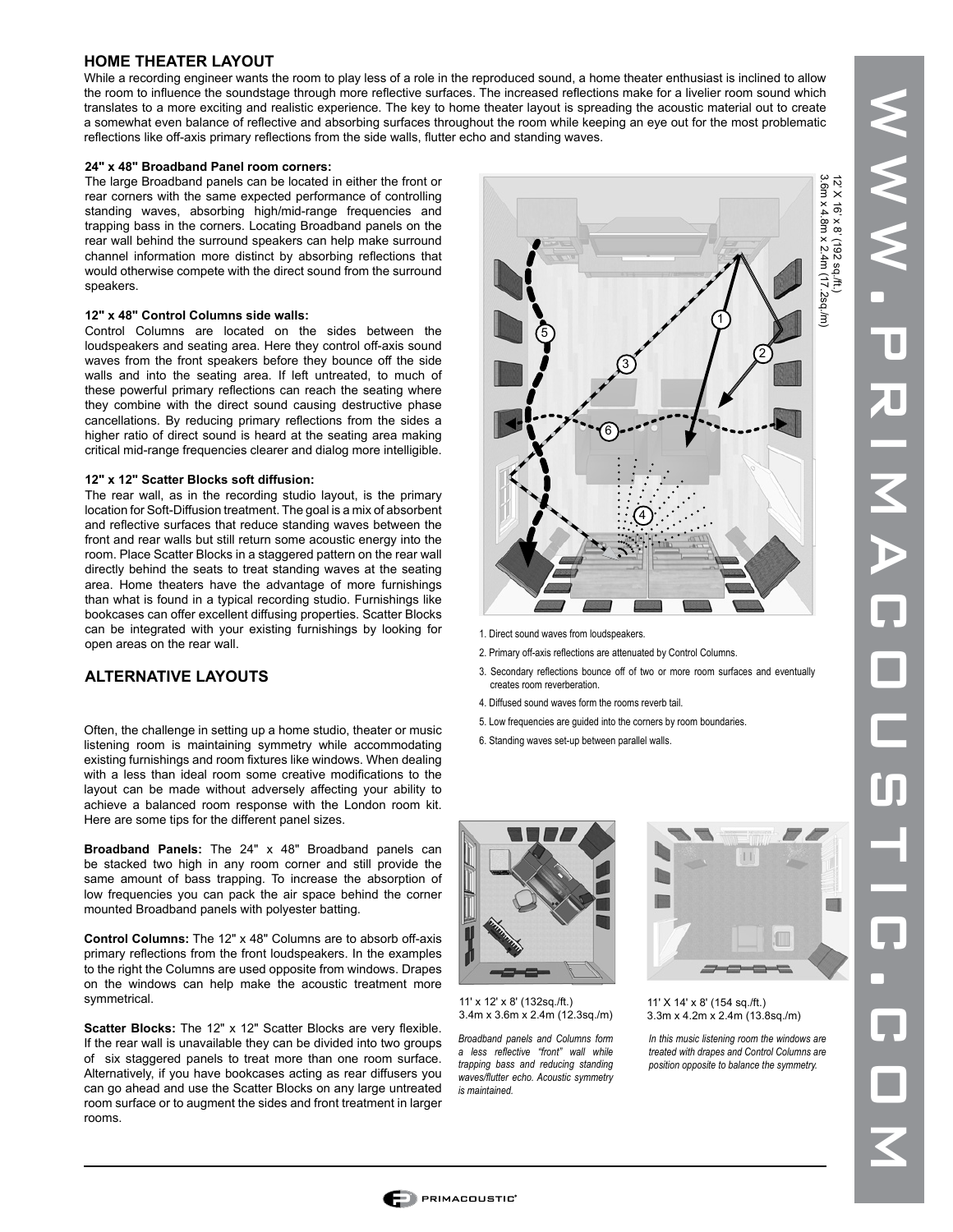#### **HOME THEATER LAYOUT**

While a recording engineer wants the room to play less of a role in the reproduced sound, a home theater enthusiast is inclined to allow the room to influence the soundstage through more reflective surfaces. The increased reflections make for a livelier room sound which translates to a more exciting and realistic experience. The key to home theater layout is spreading the acoustic material out to create a somewhat even balance of reflective and absorbing surfaces throughout the room while keeping an eye out for the most problematic reflections like off-axis primary reflections from the side walls, flutter echo and standing waves.

#### **24" x 48" Broadband Panel room corners:**

The large Broadband panels can be located in either the front or rear corners with the same expected performance of controlling standing waves, absorbing high/mid-range frequencies and trapping bass in the corners. Locating Broadband panels on the rear wall behind the surround speakers can help make surround channel information more distinct by absorbing reflections that would otherwise compete with the direct sound from the surround speakers.

#### **12" x 48" Control Columns side walls:**

Control Columns are located on the sides between the loudspeakers and seating area. Here they control off-axis sound waves from the front speakers before they bounce off the side walls and into the seating area. If left untreated, to much of these powerful primary reflections can reach the seating where they combine with the direct sound causing destructive phase cancellations. By reducing primary reflections from the sides a higher ratio of direct sound is heard at the seating area making critical mid-range frequencies clearer and dialog more intelligible.

#### **12" x 12" Scatter Blocks soft diffusion:**

The rear wall, as in the recording studio layout, is the primary location for Soft-Diffusion treatment. The goal is a mix of absorbent and reflective surfaces that reduce standing waves between the front and rear walls but still return some acoustic energy into the room. Place Scatter Blocks in a staggered pattern on the rear wall directly behind the seats to treat standing waves at the seating area. Home theaters have the advantage of more furnishings than what is found in a typical recording studio. Furnishings like bookcases can offer excellent diffusing properties. Scatter Blocks can be integrated with your existing furnishings by looking for open areas on the rear wall.

## **ALTERNATIVE LAYOUTS**

Often, the challenge in setting up a home studio, theater or music listening room is maintaining symmetry while accommodating existing furnishings and room fixtures like windows. When dealing with a less than ideal room some creative modifications to the layout can be made without adversely affecting your ability to achieve a balanced room response with the London room kit. Here are some tips for the different panel sizes.

**Broadband Panels:** The 24" x 48" Broadband panels can be stacked two high in any room corner and still provide the same amount of bass trapping. To increase the absorption of low frequencies you can pack the air space behind the corner mounted Broadband panels with polyester batting.

**Control Columns:** The 12" x 48" Columns are to absorb off-axis primary reflections from the front loudspeakers. In the examples to the right the Columns are used opposite from windows. Drapes on the windows can help make the acoustic treatment more symmetrical.

**Scatter Blocks:** The 12" x 12" Scatter Blocks are very flexible. If the rear wall is unavailable they can be divided into two groups of six staggered panels to treat more than one room surface. Alternatively, if you have bookcases acting as rear diffusers you can go ahead and use the Scatter Blocks on any large untreated room surface or to augment the sides and front treatment in larger rooms.



- 1. Direct sound waves from loudspeakers.
- 2. Primary off-axis reflections are attenuated by Control Columns.
- 3. Secondary reflections bounce off of two or more room surfaces and eventually creates room reverberation.
- 4. Diffused sound waves form the rooms reverb tail.
- 5. Low frequencies are guided into the corners by room boundaries.
- 6. Standing waves set-up between parallel walls.



11' x 12' x 8' (132sq./ft.) 3.4m x 3.6m x 2.4m (12.3sq./m)

*Broadband panels and Columns form a less reflective "front" wall while trapping bass and reducing standing waves/flutter echo. Acoustic symmetry is maintained.*



11' X 14' x 8' (154 sq./ft.) 3.3m x 4.2m x 2.4m (13.8sq./m)

*In this music listening room the windows are treated with drapes and Control Columns are position opposite to balance the symmetry.*